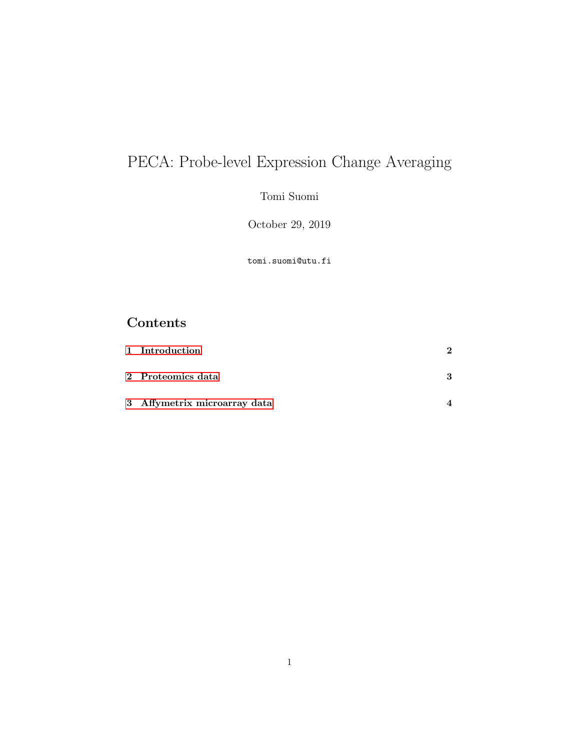# PECA: Probe-level Expression Change Averaging

Tomi Suomi

October 29, 2019

tomi.suomi@utu.fi

# Contents

| 1 Introduction               |   |
|------------------------------|---|
| 2 Proteomics data            | 3 |
| 3 Affymetrix microarray data |   |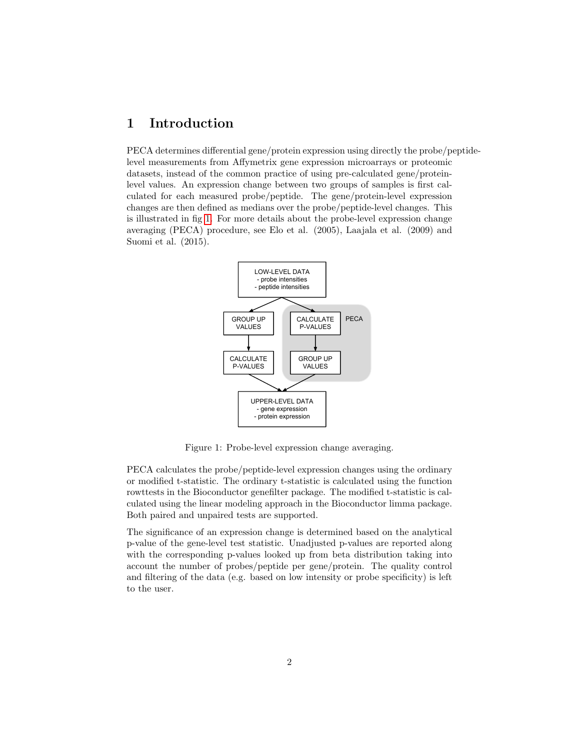#### <span id="page-1-0"></span>1 Introduction

PECA determines differential gene/protein expression using directly the probe/peptidelevel measurements from Affymetrix gene expression microarrays or proteomic datasets, instead of the common practice of using pre-calculated gene/proteinlevel values. An expression change between two groups of samples is first calculated for each measured probe/peptide. The gene/protein-level expression changes are then defined as medians over the probe/peptide-level changes. This is illustrated in fig [1.](#page-1-1) For more details about the probe-level expression change averaging (PECA) procedure, see Elo et al. (2005), Laajala et al. (2009) and Suomi et al. (2015).



<span id="page-1-1"></span>Figure 1: Probe-level expression change averaging.

PECA calculates the probe/peptide-level expression changes using the ordinary or modified t-statistic. The ordinary t-statistic is calculated using the function rowttests in the Bioconductor genefilter package. The modified t-statistic is calculated using the linear modeling approach in the Bioconductor limma package. Both paired and unpaired tests are supported.

The significance of an expression change is determined based on the analytical p-value of the gene-level test statistic. Unadjusted p-values are reported along with the corresponding p-values looked up from beta distribution taking into account the number of probes/peptide per gene/protein. The quality control and filtering of the data (e.g. based on low intensity or probe specificity) is left to the user.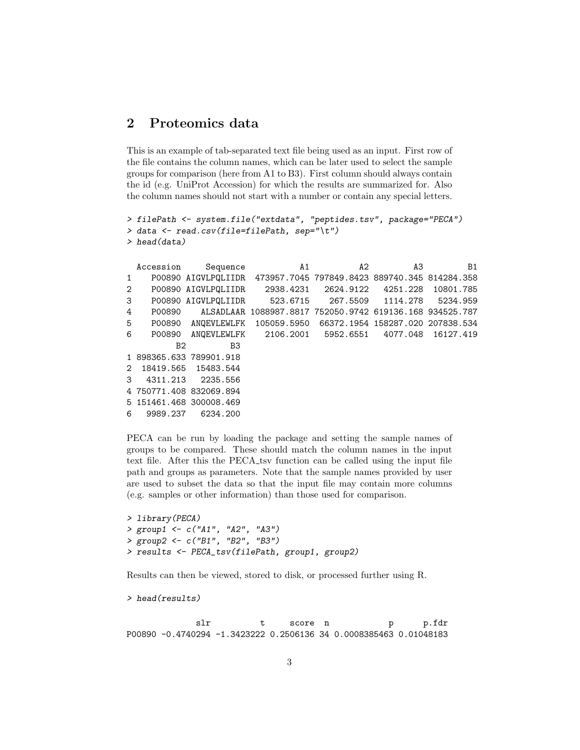## <span id="page-2-0"></span>2 Proteomics data

This is an example of tab-separated text file being used as an input. First row of the file contains the column names, which can be later used to select the sample groups for comparison (here from A1 to B3). First column should always contain the id (e.g. UniProt Accession) for which the results are summarized for. Also the column names should not start with a number or contain any special letters.

```
> filePath <- system.file("extdata", "peptides.tsv", package="PECA")
> data <- read.csv(file=filePath, sep="\t")
> head(data)
```

|                | Accession | Sequence                | A1                                                                | A2 | A3 | B <sub>1</sub> |
|----------------|-----------|-------------------------|-------------------------------------------------------------------|----|----|----------------|
| 1              |           |                         | P00890 AIGVLPQLIIDR 473957.7045 797849.8423 889740.345 814284.358 |    |    |                |
| $\overline{2}$ |           |                         | P00890 AIGVLPQLIIDR 2938.4231 2624.9122 4251.228 10801.785        |    |    |                |
| 3              |           |                         | P00890 AIGVLPQLIIDR 523.6715 267.5509 1114.278 5234.959           |    |    |                |
| 4              | P00890    |                         | ALSADLAAR 1088987.8817 752050.9742 619136.168 934525.787          |    |    |                |
| 5              |           |                         | P00890 ANQEVLEWLFK 105059.5950 66372.1954 158287.020 207838.534   |    |    |                |
| 6              |           |                         | P00890 ANQEVLEWLFK 2106.2001 5952.6551 4077.048 16127.419         |    |    |                |
|                | B2        | B <sub>3</sub>          |                                                                   |    |    |                |
|                |           | 1 898365.633 789901.918 |                                                                   |    |    |                |
|                |           | 2 18419.565 15483.544   |                                                                   |    |    |                |
| 3              | 4311.213  | 2235.556                |                                                                   |    |    |                |
|                |           | 4 750771.408 832069.894 |                                                                   |    |    |                |
|                |           | 5 151461.468 300008.469 |                                                                   |    |    |                |
| 6              | 9989.237  | 6234,200                |                                                                   |    |    |                |

PECA can be run by loading the package and setting the sample names of groups to be compared. These should match the column names in the input text file. After this the PECA tsv function can be called using the input file path and groups as parameters. Note that the sample names provided by user are used to subset the data so that the input file may contain more columns (e.g. samples or other information) than those used for comparison.

```
> library(PECA)
> group1 <- c("A1", "A2", "A3")
> group2 <- c("B1", "B2", "B3")
> results <- PECA_tsv(filePath, group1, group2)
```
Results can then be viewed, stored to disk, or processed further using R.

> head(results)

slr t score n p p.fdr P00890 -0.4740294 -1.3423222 0.2506136 34 0.0008385463 0.01048183